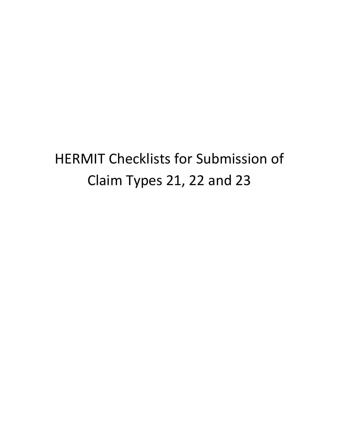## HERMIT Checklists for Submission of Claim Types 21, 22 and 23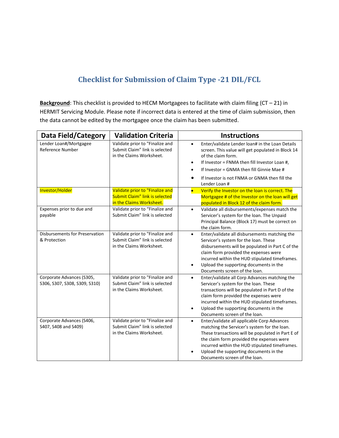## **Checklist for Submission of Claim Type -21 DIL/FCL**

**Background**: This checklist is provided to HECM Mortgagees to facilitate with claim filing (CT – 21) in HERMIT Servicing Module. Please note if incorrect data is entered at the time of claim submission, then the data cannot be edited by the mortgagee once the claim has been submitted.

| Data Field/Category                                        | <b>Validation Criteria</b>                                                                    | <b>Instructions</b>                                                                                                                                                                                                                                                                                                                        |
|------------------------------------------------------------|-----------------------------------------------------------------------------------------------|--------------------------------------------------------------------------------------------------------------------------------------------------------------------------------------------------------------------------------------------------------------------------------------------------------------------------------------------|
| Lender Loan#/Mortgagee<br>Reference Number                 | Validate prior to "Finalize and<br>Submit Claim" link is selected<br>in the Claims Worksheet. | Enter/validate Lender loan# in the Loan Details<br>$\bullet$<br>screen. This value will get populated in Block 14<br>of the claim form.<br>If Investor = FNMA then fill Investor Loan #,<br>If Investor = GNMA then fill Ginnie Mae #<br>If Investor is not FNMA or GNMA then fill the                                                     |
| Investor/Holder                                            | Validate prior to "Finalize and                                                               | Lender Loan #<br>Verify the Investor on the loan is correct. The<br>$\bullet$                                                                                                                                                                                                                                                              |
|                                                            | <b>Submit Claim" link is selected</b><br>in the Claims Worksheet.                             | Mortgagee # of the Investor on the loan will get<br>populated in Block 12 of the claim form.                                                                                                                                                                                                                                               |
| Expenses prior to due and<br>payable                       | Validate prior to "Finalize and<br>Submit Claim" link is selected                             | Validate all disbursements/expenses match the<br>$\bullet$<br>Servicer's system for the loan. The Unpaid<br>Principal Balance (Block 17) must be correct on<br>the claim form.                                                                                                                                                             |
| <b>Disbursements for Preservation</b><br>& Protection      | Validate prior to "Finalize and<br>Submit Claim" link is selected<br>in the Claims Worksheet. | Enter/validate all disbursements matching the<br>$\bullet$<br>Servicer's system for the loan. These<br>disbursements will be populated in Part C of the<br>claim form provided the expenses were<br>incurred within the HUD stipulated timeframes.<br>Upload the supporting documents in the<br>$\bullet$<br>Documents screen of the loan. |
| Corporate Advances (S305,<br>S306, S307, S308, S309, S310) | Validate prior to "Finalize and<br>Submit Claim" link is selected<br>in the Claims Worksheet. | Enter/validate all Corp Advances matching the<br>$\bullet$<br>Servicer's system for the loan. These<br>transactions will be populated in Part D of the<br>claim form provided the expenses were<br>incurred within the HUD stipulated timeframes.<br>Upload the supporting documents in the<br>Documents screen of the loan.               |
| Corporate Advances (S406,<br>S407, S408 and S409)          | Validate prior to "Finalize and<br>Submit Claim" link is selected<br>in the Claims Worksheet. | Enter/validate all applicable Corp Advances<br>$\bullet$<br>matching the Servicer's system for the loan.<br>These transactions will be populated in Part E of<br>the claim form provided the expenses were<br>incurred within the HUD stipulated timeframes.<br>Upload the supporting documents in the<br>Documents screen of the loan.    |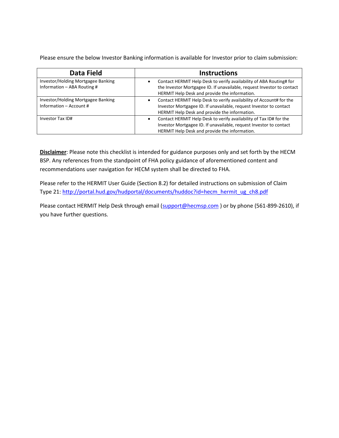Please ensure the below Investor Banking information is available for Investor prior to claim submission:

| Data Field                                                        | <b>Instructions</b>                                                                                                                                                                                         |
|-------------------------------------------------------------------|-------------------------------------------------------------------------------------------------------------------------------------------------------------------------------------------------------------|
| Investor/Holding Mortgagee Banking<br>Information - ABA Routing # | Contact HERMIT Help Desk to verify availability of ABA Routing# for<br>$\bullet$<br>the Investor Mortgagee ID. If unavailable, request Investor to contact<br>HERMIT Help Desk and provide the information. |
| Investor/Holding Mortgagee Banking<br>Information - Account #     | Contact HERMIT Help Desk to verify availability of Account# for the<br>$\bullet$<br>Investor Mortgagee ID. If unavailable, request Investor to contact<br>HERMIT Help Desk and provide the information.     |
| Investor Tax ID#                                                  | Contact HERMIT Help Desk to verify availability of Tax ID# for the<br>$\bullet$<br>Investor Mortgagee ID. If unavailable, request Investor to contact<br>HERMIT Help Desk and provide the information.      |

**Disclaimer**: Please note this checklist is intended for guidance purposes only and set forth by the HECM BSP. Any references from the standpoint of FHA policy guidance of aforementioned content and recommendations user navigation for HECM system shall be directed to FHA.

Please refer to the HERMIT User Guide (Section 8.2) for detailed instructions on submission of Claim Type 21[: http://portal.hud.gov/hudportal/documents/huddoc?id=hecm\\_hermit\\_ug\\_ch8.pdf](http://portal.hud.gov/hudportal/documents/huddoc?id=hecm_hermit_ug_ch8.pdf)

Please contact HERMIT Help Desk through email [\(support@hecmsp.com](mailto:support@hecmsp.com)) or by phone (561-899-2610), if you have further questions.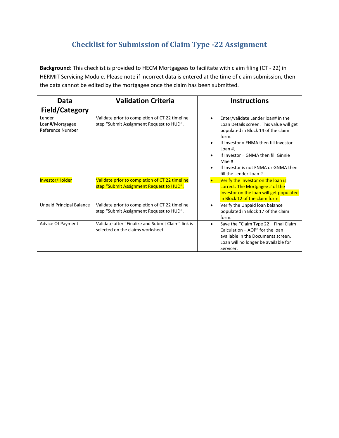## **Checklist for Submission of Claim Type -22 Assignment**

**Background**: This checklist is provided to HECM Mortgagees to facilitate with claim filing (CT - 22) in HERMIT Servicing Module. Please note if incorrect data is entered at the time of claim submission, then the data cannot be edited by the mortgagee once the claim has been submitted.

| Data                                          | <b>Validation Criteria</b>                                                                 | <b>Instructions</b>                                                                                                                                                                                                                                                                                                           |
|-----------------------------------------------|--------------------------------------------------------------------------------------------|-------------------------------------------------------------------------------------------------------------------------------------------------------------------------------------------------------------------------------------------------------------------------------------------------------------------------------|
| <b>Field/Category</b>                         |                                                                                            |                                                                                                                                                                                                                                                                                                                               |
| Lender<br>Loan#/Mortgagee<br>Reference Number | Validate prior to completion of CT 22 timeline<br>step "Submit Assignment Request to HUD". | Enter/validate Lender loan# in the<br>$\bullet$<br>Loan Details screen. This value will get<br>populated in Block 14 of the claim<br>form.<br>If Investor = FNMA then fill Investor<br>$\bullet$<br>Loan #,<br>If Investor = GNMA then fill Ginnie<br>Mae #<br>If Investor is not FNMA or GNMA then<br>fill the Lender Loan # |
| Investor/Holder                               | Validate prior to completion of CT 22 timeline<br>step "Submit Assignment Request to HUD". | Verify the Investor on the loan is<br>correct. The Mortgagee # of the<br>Investor on the loan will get populated<br>in Block 12 of the claim form.                                                                                                                                                                            |
| <b>Unpaid Principal Balance</b>               | Validate prior to completion of CT 22 timeline<br>step "Submit Assignment Request to HUD". | Verify the Unpaid loan balance<br>populated in Block 17 of the claim<br>form.                                                                                                                                                                                                                                                 |
| <b>Advice Of Payment</b>                      | Validate after "Finalize and Submit Claim" link is<br>selected on the claims worksheet.    | Save the "Claim Type 22 - Final Claim<br>$\bullet$<br>Calculation - AOP" for the loan<br>available in the Documents screen.<br>Loan will no longer be available for<br>Servicer.                                                                                                                                              |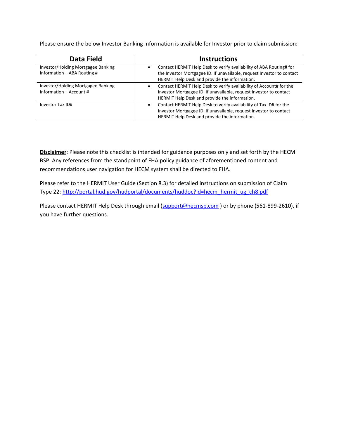Please ensure the below Investor Banking information is available for Investor prior to claim submission:

| Data Field                                                          | <b>Instructions</b>                                                                                                                                                                                         |
|---------------------------------------------------------------------|-------------------------------------------------------------------------------------------------------------------------------------------------------------------------------------------------------------|
| Investor/Holding Mortgagee Banking<br>Information $-$ ABA Routing # | Contact HERMIT Help Desk to verify availability of ABA Routing# for<br>$\bullet$<br>the Investor Mortgagee ID. If unavailable, request Investor to contact<br>HERMIT Help Desk and provide the information. |
| Investor/Holding Mortgagee Banking<br>Information - Account #       | Contact HERMIT Help Desk to verify availability of Account# for the<br>Investor Mortgagee ID. If unavailable, request Investor to contact<br>HERMIT Help Desk and provide the information.                  |
| Investor Tax ID#                                                    | Contact HERMIT Help Desk to verify availability of Tax ID# for the<br>٠<br>Investor Mortgagee ID. If unavailable, request Investor to contact<br>HERMIT Help Desk and provide the information.              |

**Disclaimer**: Please note this checklist is intended for guidance purposes only and set forth by the HECM BSP. Any references from the standpoint of FHA policy guidance of aforementioned content and recommendations user navigation for HECM system shall be directed to FHA.

Please refer to the HERMIT User Guide (Section 8.3) for detailed instructions on submission of Claim Type 22[: http://portal.hud.gov/hudportal/documents/huddoc?id=hecm\\_hermit\\_ug\\_ch8.pdf](http://portal.hud.gov/hudportal/documents/huddoc?id=hecm_hermit_ug_ch8.pdf)

Please contact HERMIT Help Desk through email [\(support@hecmsp.com](mailto:support@hecmsp.com)) or by phone (561-899-2610), if you have further questions.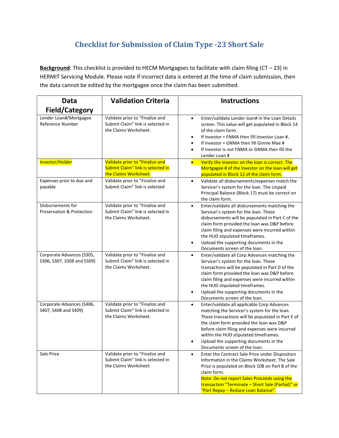## **Checklist for Submission of Claim Type -23 Short Sale**

Background: This checklist is provided to HECM Mortgagees to facilitate with claim filing (CT - 23) in HERMIT Servicing Module. Please note if incorrect data is entered at the time of claim submission, then the data cannot be edited by the mortgagee once the claim has been submitted.

| Data<br><b>Field/Category</b>                           | <b>Validation Criteria</b>                                                                    | <b>Instructions</b>                                                                                                                                                                                                                                                                                                                                                             |
|---------------------------------------------------------|-----------------------------------------------------------------------------------------------|---------------------------------------------------------------------------------------------------------------------------------------------------------------------------------------------------------------------------------------------------------------------------------------------------------------------------------------------------------------------------------|
| Lender Loan#/Mortgagee<br>Reference Number              | Validate prior to "Finalize and<br>Submit Claim" link is selected in<br>the Claims Worksheet. | Enter/validate Lender loan# in the Loan Details<br>$\bullet$<br>screen. This value will get populated in Block 14<br>of the claim form.<br>If Investor = FNMA then fill Investor Loan #,<br>$\bullet$<br>If Investor = GNMA then fill Ginnie Mae #<br>If Investor is not FNMA or GNMA then fill the<br>Lender Loan #                                                            |
| Investor/Holder                                         | Validate prior to "Finalize and<br>Submit Claim" link is selected in<br>the Claims Worksheet. | Verify the Investor on the loan is correct. The<br>$\bullet$<br>Mortgagee # of the Investor on the loan will get<br>populated in Block 12 of the claim form.                                                                                                                                                                                                                    |
| Expenses prior to due and<br>payable                    | Validate prior to "Finalize and<br>Submit Claim" link is selected                             | Validate all disbursements/expenses match the<br>$\bullet$<br>Servicer's system for the loan. The Unpaid<br>Principal Balance (Block 17) must be correct on<br>the claim form.                                                                                                                                                                                                  |
| Disbursements for<br>Preservation & Protection          | Validate prior to "Finalize and<br>Submit Claim" link is selected in<br>the Claims Worksheet. | Enter/validate all disbursements matching the<br>$\bullet$<br>Servicer's system for the loan. These<br>disbursements will be populated in Part C of the<br>claim form provided the loan was D&P before<br>claim filing and expenses were incurred within<br>the HUD stipulated timeframes.<br>Upload the supporting documents in the<br>Documents screen of the loan.           |
| Corporate Advances (S305,<br>S306, S307, S308 and S309) | Validate prior to "Finalize and<br>Submit Claim" link is selected in<br>the Claims Worksheet. | Enter/validate all Corp Advances matching the<br>$\bullet$<br>Servicer's system for the loan. These<br>transactions will be populated in Part D of the<br>claim form provided the loan was D&P before<br>claim filing and expenses were incurred within<br>the HUD stipulated timeframes.<br>Upload the supporting documents in the<br>Documents screen of the loan.            |
| Corporate Advances (S406,<br>S407, S408 and S409)       | Validate prior to "Finalize and<br>Submit Claim" link is selected in<br>the Claims Worksheet. | Enter/validate all applicable Corp Advances<br>$\bullet$<br>matching the Servicer's system for the loan.<br>These transactions will be populated in Part E of<br>the claim form provided the loan was D&P<br>before claim filing and expenses were incurred<br>within the HUD stipulated timeframes.<br>Upload the supporting documents in the<br>Documents screen of the loan. |
| Sale Price                                              | Validate prior to "Finalize and<br>Submit Claim" link is selected in<br>the Claims Worksheet. | Enter the Contract Sale Price under Disposition<br>$\bullet$<br>Information in the Claims Worksheet. The Sale<br>Price is populated on Block 108 on Part B of the<br>claim form.<br>Note: Do not report Sales Proceeds using the<br>transaction "Terminate - Short Sale (Partial)" or<br>"Part Repay - Reduce Loan Balance".                                                    |